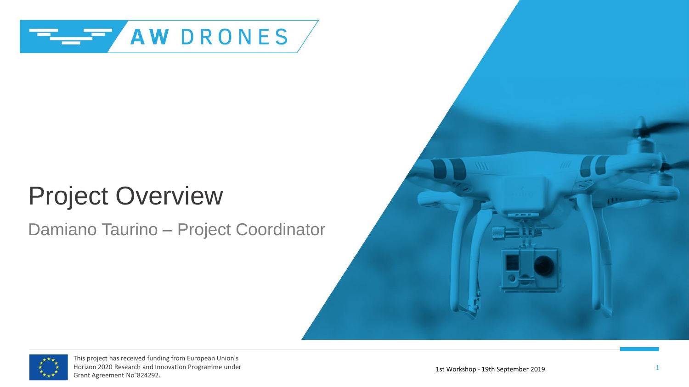

# Project Overview

#### Damiano Taurino – Project Coordinator



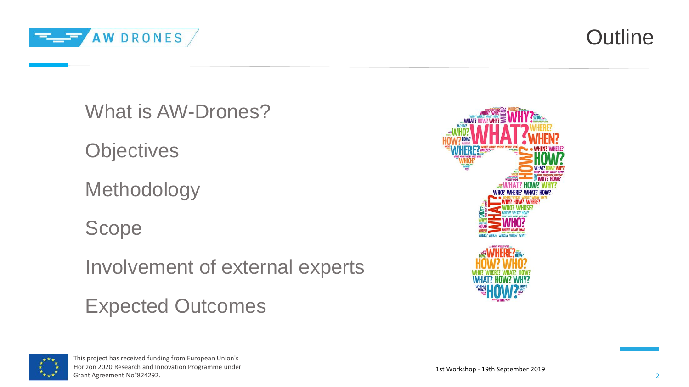

**Outline** 

What is AW-Drones?

**Objectives** 

Methodology

Scope

Involvement of external experts

Expected Outcomes



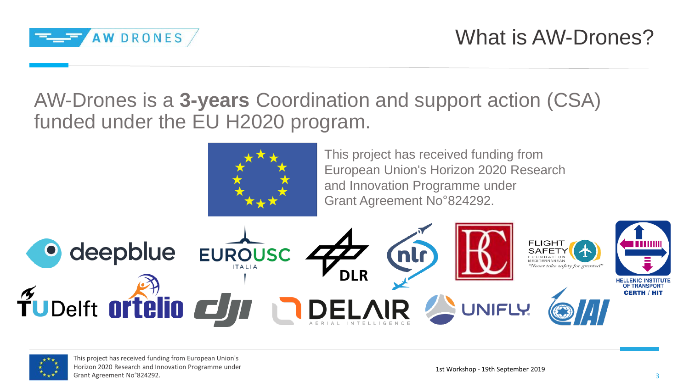

AW-Drones is a **3-years** Coordination and support action (CSA) funded under the EU H2020 program.



This project has received funding from European Union's Horizon 2020 Research and Innovation Programme under Grant Agreement No°824292.



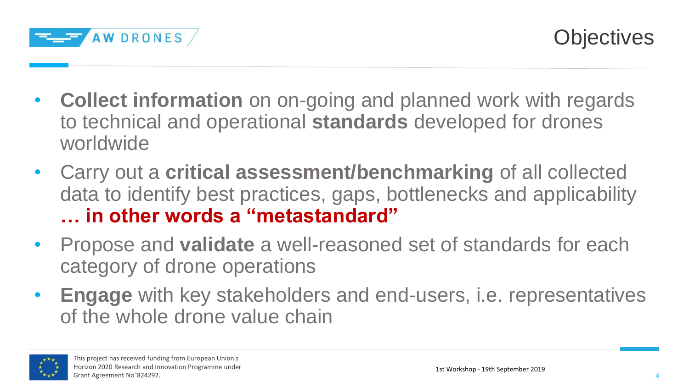

- **Collect information** on on-going and planned work with regards to technical and operational **standards** developed for drones worldwide
- Carry out a **critical assessment/benchmarking** of all collected data to identify best practices, gaps, bottlenecks and applicability **… in other words a "metastandard"**
- Propose and **validate** a well-reasoned set of standards for each category of drone operations
- **Engage** with key stakeholders and end-users, i.e. representatives of the whole drone value chain

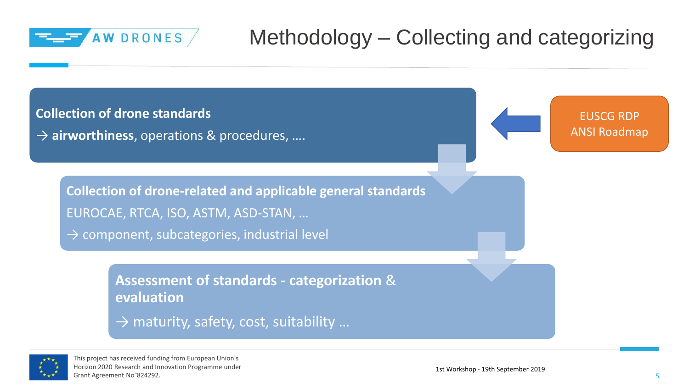

### Methodology – Collecting and categorizing

**Collection of drone standards**

→ **airworthiness**, operations & procedures, ….

EUSCG RDP ANSI Roadmap

**Collection of drone-related and applicable general standards** EUROCAE, RTCA, ISO, ASTM, ASD-STAN, …

 $\rightarrow$  component, subcategories, industrial level

**Assessment of standards - categorization** & **evaluation**

 $\rightarrow$  maturity, safety, cost, suitability ...

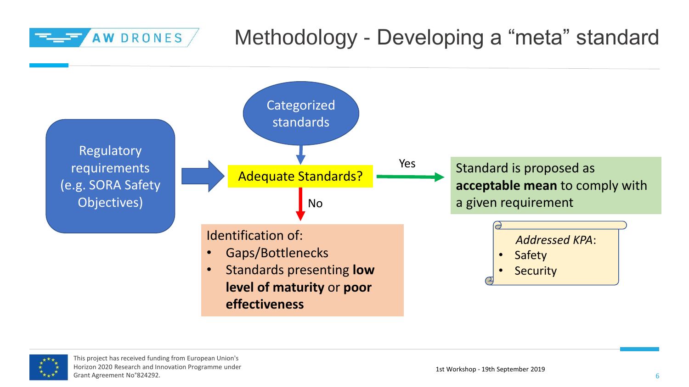#### Methodology - Developing a "meta" standard AW DRONES



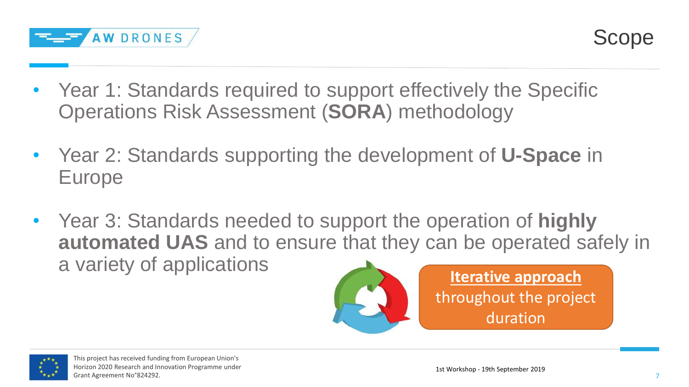

- Year 1: Standards required to support effectively the Specific Operations Risk Assessment (**SORA**) methodology
- Year 2: Standards supporting the development of **U-Space** in Europe
- Year 3: Standards needed to support the operation of **highly automated UAS** and to ensure that they can be operated safely in a variety of applications



**Iterative approach**  throughout the project duration

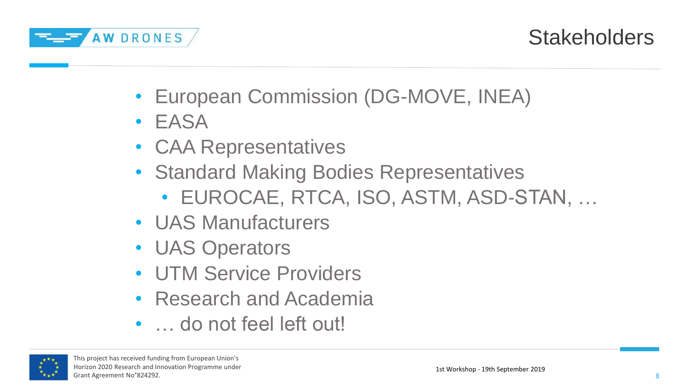

#### **Stakeholders**

- European Commission (DG-MOVE, INEA)
- EASA
- CAA Representatives
- Standard Making Bodies Representatives
	- EUROCAE, RTCA, ISO, ASTM, ASD-STAN, …
- UAS Manufacturers
- UAS Operators
- UTM Service Providers
- Research and Academia
- ... do not feel left out!

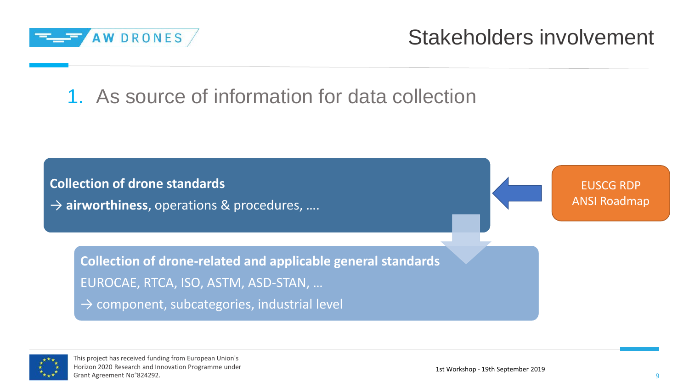

Stakeholders involvement

1. As source of information for data collection

**Collection of drone standards** → **airworthiness**, operations & procedures, ….

EUSCG RDP ANSI Roadmap

**Collection of drone-related and applicable general standards** EUROCAE, RTCA, ISO, ASTM, ASD-STAN, …

 $\rightarrow$  component, subcategories, industrial level

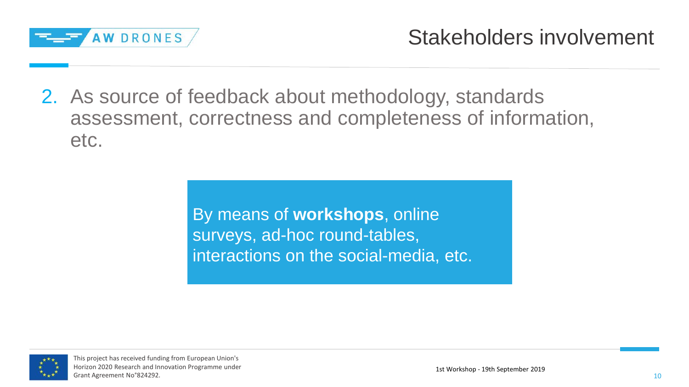

2. As source of feedback about methodology, standards assessment, correctness and completeness of information, etc.

> By means of **workshops**, online surveys, ad-hoc round-tables, interactions on the social-media, etc.

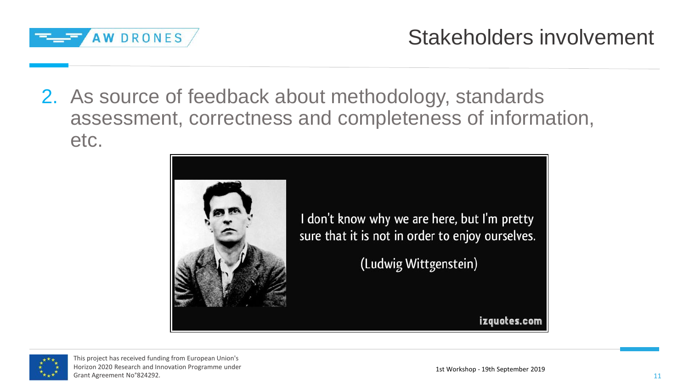

2. As source of feedback about methodology, standards assessment, correctness and completeness of information, etc.





This project has received funding from European Union's Horizon 2020 Research and Innovation Programme under Grant Agreement No°824292.

izquotes.com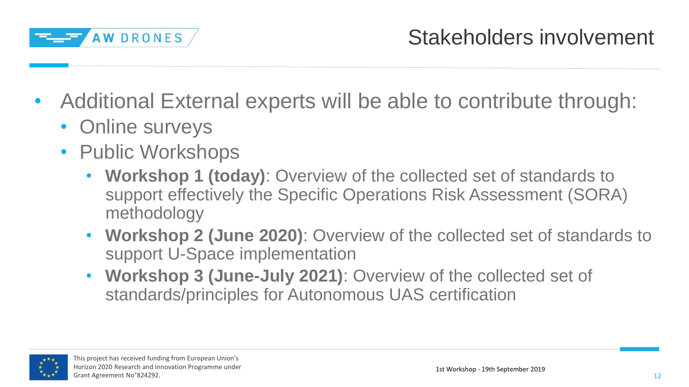

- Additional External experts will be able to contribute through:
	- Online surveys
	- Public Workshops
		- **Workshop 1 (today)**: Overview of the collected set of standards to support effectively the Specific Operations Risk Assessment (SORA) methodology
		- **Workshop 2 (June 2020)**: Overview of the collected set of standards to support U-Space implementation
		- **Workshop 3 (June-July 2021)**: Overview of the collected set of standards/principles for Autonomous UAS certification

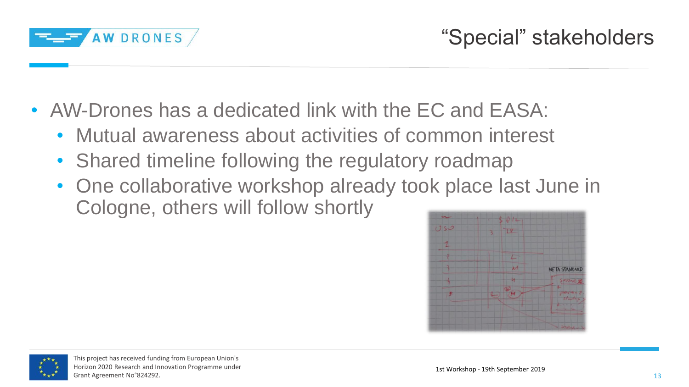

- AW-Drones has a dedicated link with the EC and EASA:
	- Mutual awareness about activities of common interest
	- Shared timeline following the regulatory roadmap
	- One collaborative workshop already took place last June in Cologne, others will follow shortly



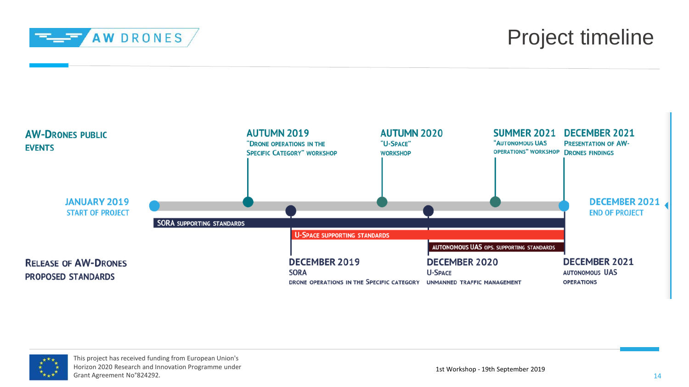

#### Project timeline



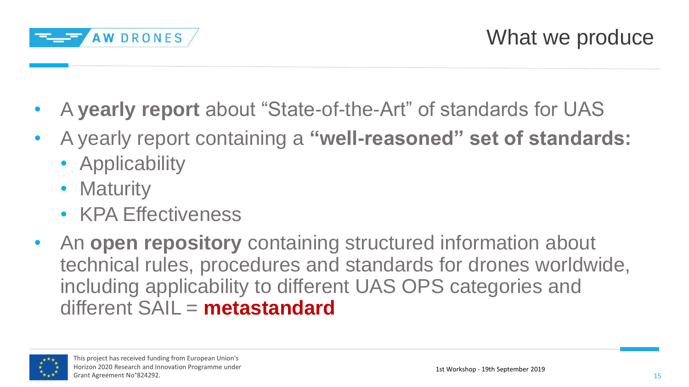

- A **yearly report** about "State-of-the-Art" of standards for UAS
- A yearly report containing a **"well-reasoned" set of standards:**
	- Applicability
	- Maturity
	- KPA Effectiveness
- An **open repository** containing structured information about technical rules, procedures and standards for drones worldwide, including applicability to different UAS OPS categories and different SAIL = **metastandard**

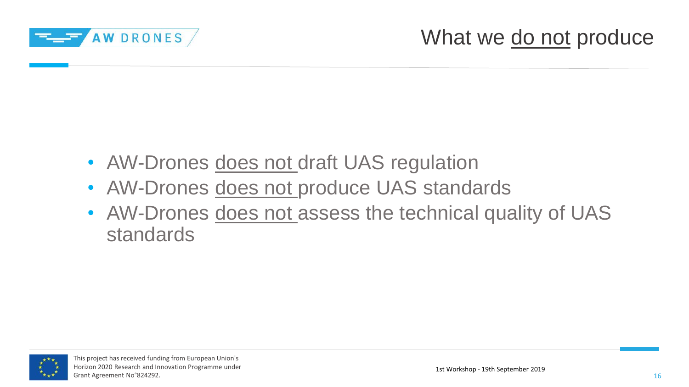

- AW-Drones does not draft UAS regulation
- AW-Drones does not produce UAS standards
- AW-Drones does not assess the technical quality of UAS standards

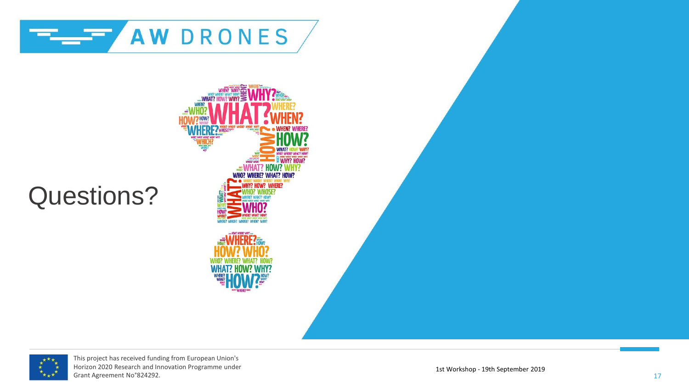

# **WHO? WHERE? WHAT? HOW? OW? WHERE?**

Questions?



This project has received funding from European Union's Horizon 2020 Research and Innovation Programme under Grant Agreement No°824292.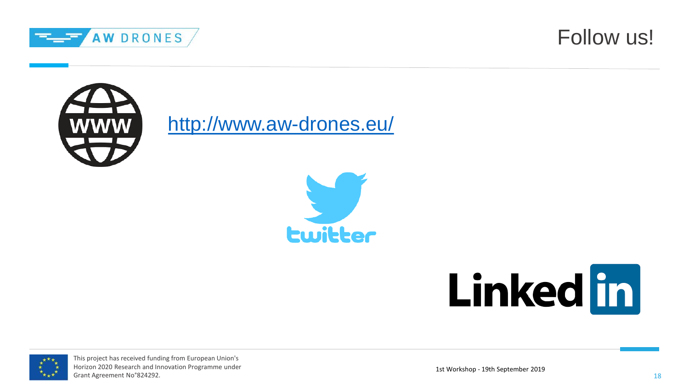





<http://www.aw-drones.eu/>







This project has received funding from European Union's Horizon 2020 Research and Innovation Programme under Grant Agreement No°824292.